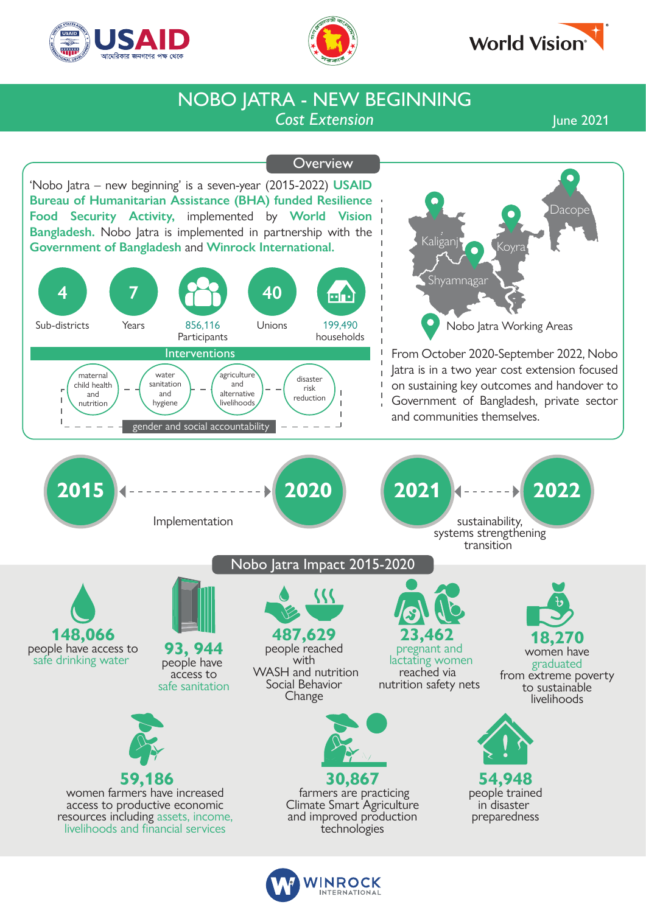





## *Cost Extension* NOBO JATRA - NEW BEGINNING

June 2021